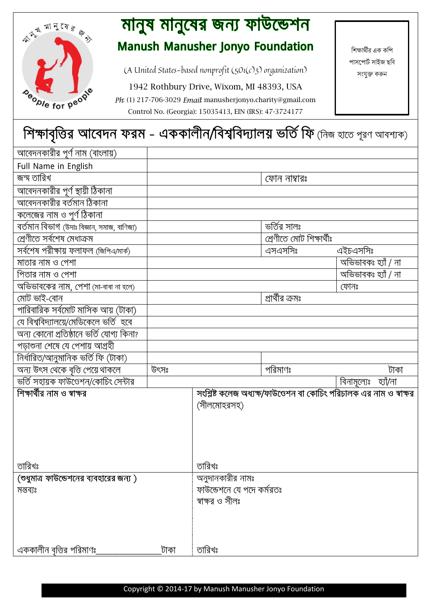

## মানুষ মানুষের জন্য ফাউন্ডেশন **Manush Manusher Jonyo Foundation**

সংযুক্ত করুন (A United States-based nonprofit (501(c)3) organization)

1942 Rothbury Drive, Wixom, MI 48393, USA

Ph: (1) 217-706-3029 Email: manusherjonyo.charity@gmail.com Control No. (Georgia): 15035413, EIN (IRS): 47-3724177

শিক্ষার্থীর এক কশি পাসপোৰ্ট সাইজ ছবি

## শিক্ষাবৃত্তির আবেদন ফরম - এককালীন/বিশ্ববিদ্যালয় ভর্তি ফি (নিজ হাতে পূরণ আবশ্যক)

| আবেদনকারীর পূর্ণ নাম (বাংলায়)              |      |                           |                          |                                                                     |
|---------------------------------------------|------|---------------------------|--------------------------|---------------------------------------------------------------------|
| Full Name in English                        |      |                           |                          |                                                                     |
| জন্ম তারিখ                                  |      |                           | ফোন নাম্বারঃ             |                                                                     |
| আবেদনকারীর পূর্ণ স্থায়ী ঠিকানা             |      |                           |                          |                                                                     |
| আবেদনকারীর বর্তমান ঠিকানা                   |      |                           |                          |                                                                     |
| _____<br>কলেজের নাম ও পূর্ণ ঠিকানা          |      |                           |                          |                                                                     |
| বৰ্তমান বিভাগ (উদাঃ বিজ্ঞান, সমাজ, বাণিজ্য) |      |                           | ভৰ্তির সালঃ              |                                                                     |
| শ্ৰেণীতে সৰ্বশেষ মেধাক্ৰম                   |      |                           | শ্ৰেণীতে মোট শিক্ষাৰ্থীঃ |                                                                     |
| সৰ্বশেষ পরীক্ষায় ফলাফল (জিপিএ/মার্ক)       |      |                           | এসএসসিঃ                  | এইচএসসিঃ                                                            |
| মাতার নাম ও পেশা                            |      |                           |                          | অভিভাবকঃ হ্যাঁ / না                                                 |
| পিতার নাম ও পেশা                            |      |                           |                          | অভিভাবকঃ হ্যাঁ / না                                                 |
| অভিভাবকের নাম, পেশা (মা-বাবা না হলে)        |      |                           |                          | ফোনঃ                                                                |
| মোট ভাই-বোন                                 |      |                           | প্রার্থীর ক্রমঃ          |                                                                     |
| পারিবারিক সর্বমোট মাসিক আয় (টাকা)          |      |                           |                          |                                                                     |
| যে বিশ্ববিদ্যালয়ে/মেডিকেলে ভর্তি হবে       |      |                           |                          |                                                                     |
| অন্য কোনো প্রতিষ্ঠানে ভর্তি যোগ্য কিনা?     |      |                           |                          |                                                                     |
| পড়াশুনা শেষে যে পেশায় আগ্ৰহী              |      |                           |                          |                                                                     |
| নিৰ্ধারিত/আনুমানিক ভৰ্তি ফি (টাকা)          |      |                           |                          |                                                                     |
| অন্য উৎস থেকে বৃত্তি পেয়ে থাকলে            | উৎসঃ |                           | পরিমাণঃ                  | টাকা                                                                |
| ভৰ্তি সহায়ক ফাউণ্ডেশন/কোচিং সেন্টার        |      |                           |                          | বিনামূল্যেঃ হ্যাঁ/না                                                |
| শিক্ষার্থীর নাম ও স্বাক্ষর                  |      |                           |                          | সংশ্লিষ্ট কলেজ অধ্যক্ষ/ফাউণ্ডেশন বা কোচিং পরিচালক এর নাম ও স্বাক্ষর |
|                                             |      | (সীলমোহরসহ)               |                          |                                                                     |
|                                             |      |                           |                          |                                                                     |
|                                             |      |                           |                          |                                                                     |
|                                             |      |                           |                          |                                                                     |
|                                             |      |                           |                          |                                                                     |
| তারিখঃ                                      |      | তারিখঃ                    |                          |                                                                     |
| (শুধুমাত্র ফাউন্ডেশনের ব্যবহারের জন্য )     |      | অনুদানকারীর নামঃ          |                          |                                                                     |
| মন্তব্যঃ                                    |      | ফাউন্ডেশনে যে পদে কর্মরতঃ |                          |                                                                     |
|                                             |      | স্বাক্ষর ও সীলঃ           |                          |                                                                     |
|                                             |      |                           |                          |                                                                     |
|                                             |      |                           |                          |                                                                     |
|                                             |      |                           |                          |                                                                     |
| এককালীন বৃত্তির পরিমাণঃ                     | টাকা | তারিখঃ                    |                          |                                                                     |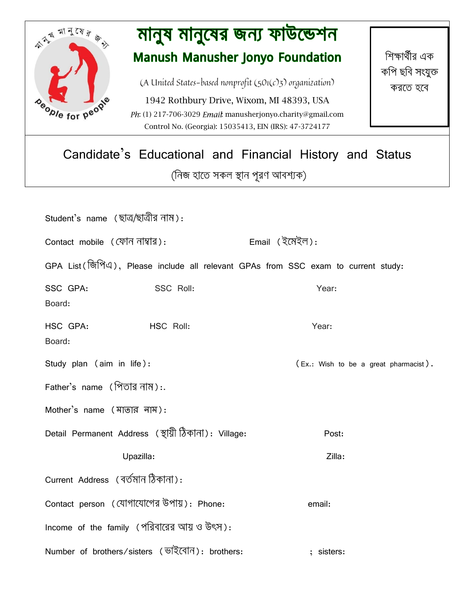